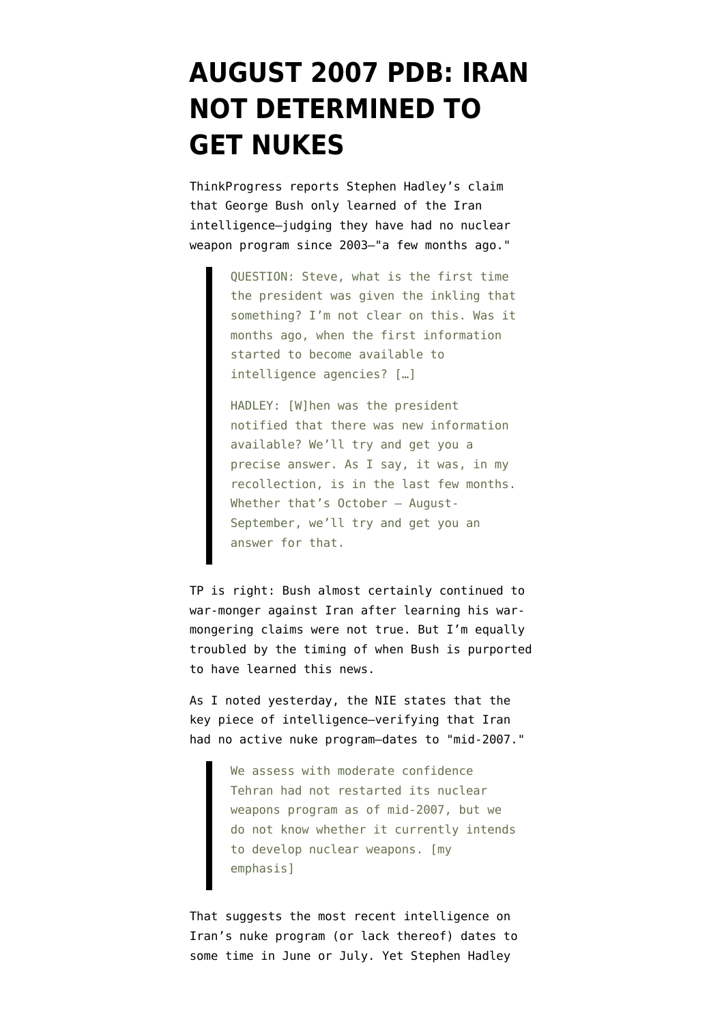## **[AUGUST 2007 PDB: IRAN](https://www.emptywheel.net/2007/12/04/august-2007-pdb-iran-not-determined-to-get-nukes/) [NOT DETERMINED TO](https://www.emptywheel.net/2007/12/04/august-2007-pdb-iran-not-determined-to-get-nukes/) [GET NUKES](https://www.emptywheel.net/2007/12/04/august-2007-pdb-iran-not-determined-to-get-nukes/)**

ThinkProgress [reports](http://thinkprogress.org/2007/12/03/hadley-nie/) Stephen Hadley's claim that George Bush only learned of the Iran intelligence–judging they have had no nuclear weapon program since 2003–"a few months ago."

> QUESTION: Steve, what is the first time the president was given the inkling that something? I'm not clear on this. Was it months ago, when the first information started to become available to intelligence agencies? […]

> HADLEY: [W]hen was the president notified that there was new information available? We'll try and get you a precise answer. As I say, it was, in my recollection, is in the last few months. Whether that's October — August-September, we'll try and get you an answer for that.

TP is right: Bush almost certainly continued to war-monger against Iran after learning his warmongering claims were not true. But I'm equally troubled by the timing of when Bush is purported to have learned this news.

As I noted yesterday, the [NIE states](http://www.dni.gov/press_releases/20071203_release.pdf) that the key piece of intelligence–verifying that Iran had no active nuke program–dates to "mid-2007."

> We assess with moderate confidence Tehran had not restarted its nuclear weapons program as of mid-2007, but we do not know whether it currently intends to develop nuclear weapons. [my emphasis]

That suggests the most recent intelligence on Iran's nuke program (or lack thereof) dates to some time in June or July. Yet Stephen Hadley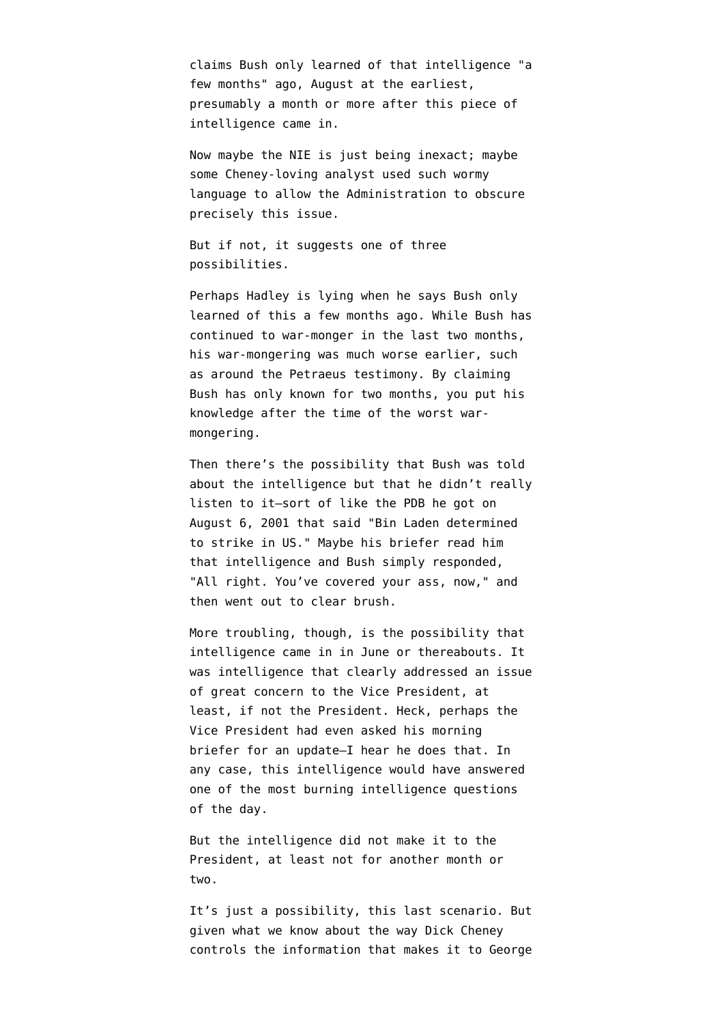claims Bush only learned of that intelligence "a few months" ago, August at the earliest, presumably a month or more after this piece of intelligence came in.

Now maybe the NIE is just being inexact; maybe some Cheney-loving analyst used such wormy language to allow the Administration to obscure precisely this issue.

But if not, it suggests one of three possibilities.

Perhaps Hadley is lying when he says Bush only learned of this a few months ago. While Bush has continued to war-monger in the last two months, his war-mongering was much worse earlier, such as around the Petraeus testimony. By claiming Bush has only known for two months, you put his knowledge after the time of the worst warmongering.

Then there's the possibility that Bush was told about the intelligence but that he didn't really listen to it–sort of like the [PDB he got on](http://www.cnn.com/2004/ALLPOLITICS/04/10/august6.memo/index.html) [August 6, 2001](http://www.cnn.com/2004/ALLPOLITICS/04/10/august6.memo/index.html) that said "Bin Laden determined to strike in US." Maybe his briefer read him that intelligence and Bush simply [responded](http://www.washingtonpost.com/wp-dyn/content/article/2006/06/19/AR2006061901211.html), "All right. You've covered your ass, now," and then went out to clear brush.

More troubling, though, is the possibility that intelligence came in in June or thereabouts. It was intelligence that clearly addressed an issue of great concern to the Vice President, at least, if not the President. Heck, perhaps the Vice President had even asked his morning briefer for an update–I hear he does that. In any case, this intelligence would have answered one of the most burning intelligence questions of the day.

But the intelligence did not make it to the President, at least not for another month or two.

It's just a possibility, this last scenario. But given what we know about the way Dick Cheney controls the information that makes it to George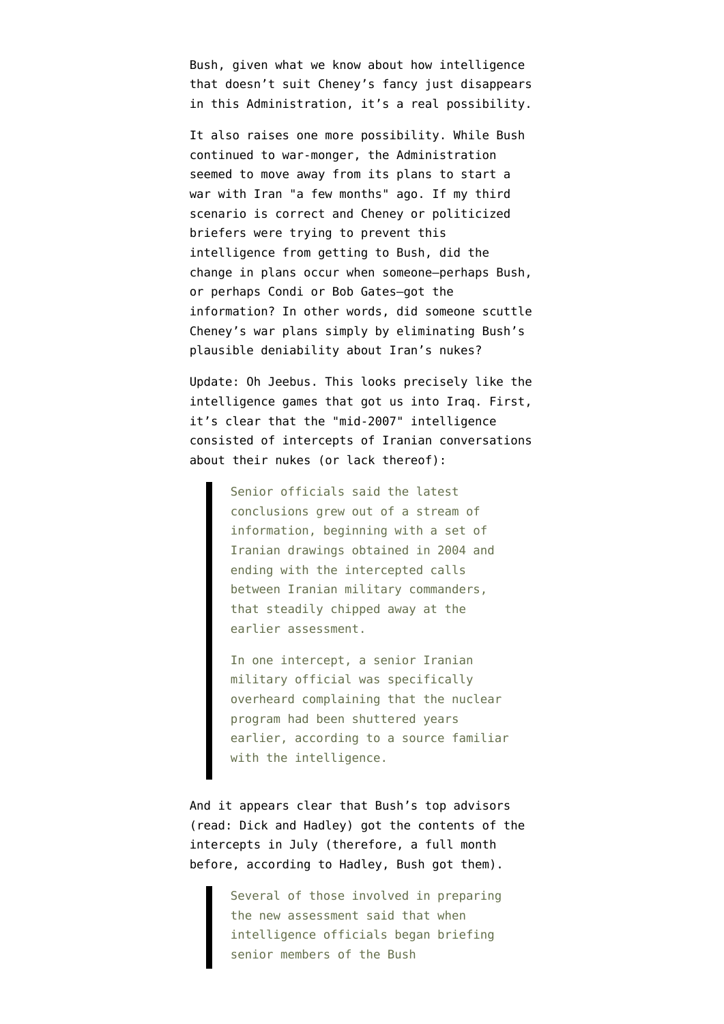Bush, given what we know about how intelligence that doesn't suit Cheney's fancy just disappears in this Administration, it's a real possibility.

It also raises one more possibility. While Bush continued to war-monger, the Administration seemed to move away from its plans to start a war with Iran "a few months" ago. If my third scenario is correct and Cheney or politicized briefers were trying to prevent this intelligence from getting to Bush, did the change in plans occur when someone–perhaps Bush, or perhaps Condi or Bob Gates–got the information? In other words, did someone scuttle Cheney's war plans simply by eliminating Bush's plausible deniability about Iran's nukes?

Update: Oh Jeebus. This [looks](http://www.washingtonpost.com/wp-dyn/content/article/2007/12/03/AR2007120300846.html?hpid=topnews) precisely like the intelligence games that got us into Iraq. First, it's clear that the "mid-2007" intelligence consisted of intercepts of Iranian conversations about their nukes (or lack thereof):

> Senior officials said the latest conclusions grew out of a stream of information, beginning with a set of Iranian drawings obtained in 2004 and ending with the intercepted calls between Iranian military commanders, that steadily chipped away at the earlier assessment.

In one intercept, a senior Iranian military official was specifically overheard complaining that the nuclear program had been shuttered years earlier, according to a source familiar with the intelligence.

And it appears clear that Bush's top advisors (read: Dick and Hadley) got the contents of the intercepts in July (therefore, a full month before, according to Hadley, Bush got them).

> Several of those involved in preparing the new assessment said that when intelligence officials began briefing senior members of the Bush